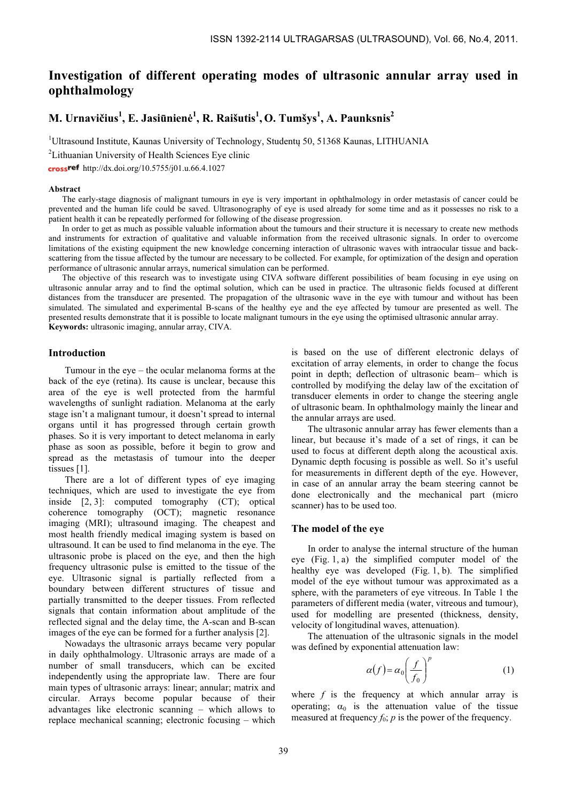# Investigation of different operating modes of ultrasonic annular array used in ophthalmology

# M. Urnavičius $^{1}$ , E. Jasiūnienė $^{1}$ , R. Raišutis $^{1}$ , O. Tumšys $^{1}$ , A. Paunksnis $^{2}$

<sup>1</sup>Ultrasound Institute, Kaunas University of Technology, Studentų 50, 51368 Kaunas, LITHUANIA

<sup>2</sup>Lithuanian University of Health Sciences Eye clinic

crossref http://dx.doi.org/10.5755/j01.u.66.4.1027

#### Abstract

The early-stage diagnosis of malignant tumours in eye is very important in ophthalmology in order metastasis of cancer could be prevented and the human life could be saved. Ultrasonography of eye is used already for some time and as it possesses no risk to a patient health it can be repeatedly performed for following of the disease progression.

In order to get as much as possible valuable information about the tumours and their structure it is necessary to create new methods and instruments for extraction of qualitative and valuable information from the received ultrasonic signals. In order to overcome limitations of the existing equipment the new knowledge concerning interaction of ultrasonic waves with intraocular tissue and backscattering from the tissue affected by the tumour are necessary to be collected. For example, for optimization of the design and operation performance of ultrasonic annular arrays, numerical simulation can be performed.

The objective of this research was to investigate using CIVA software different possibilities of beam focusing in eye using on ultrasonic annular array and to find the optimal solution, which can be used in practice. The ultrasonic fields focused at different distances from the transducer are presented. The propagation of the ultrasonic wave in the eye with tumour and without has been simulated. The simulated and experimental B-scans of the healthy eye and the eye affected by tumour are presented as well. The presented results demonstrate that it is possible to locate malignant tumours in the eye using the optimised ultrasonic annular array. Keywords: ultrasonic imaging, annular array, CIVA.

# Introduction

Tumour in the eye – the ocular melanoma forms at the back of the eye (retina). Its cause is unclear, because this area of the eye is well protected from the harmful wavelengths of sunlight radiation. Melanoma at the early stage isn't a malignant tumour, it doesn't spread to internal organs until it has progressed through certain growth phases. So it is very important to detect melanoma in early phase as soon as possible, before it begin to grow and spread as the metastasis of tumour into the deeper tissues [1].

There are a lot of different types of eye imaging techniques, which are used to investigate the eye from inside [2, 3]: computed tomography (CT); optical coherence tomography (OCT); magnetic resonance imaging (MRI); ultrasound imaging. The cheapest and most health friendly medical imaging system is based on ultrasound. It can be used to find melanoma in the eye. The ultrasonic probe is placed on the eye, and then the high frequency ultrasonic pulse is emitted to the tissue of the eye. Ultrasonic signal is partially reflected from a boundary between different structures of tissue and partially transmitted to the deeper tissues. From reflected signals that contain information about amplitude of the reflected signal and the delay time, the A-scan and B-scan images of the eye can be formed for a further analysis [2].

Nowadays the ultrasonic arrays became very popular in daily ophthalmology. Ultrasonic arrays are made of a number of small transducers, which can be excited independently using the appropriate law. There are four main types of ultrasonic arrays: linear; annular; matrix and circular. Arrays become popular because of their advantages like electronic scanning – which allows to replace mechanical scanning; electronic focusing – which

is based on the use of different electronic delays of excitation of array elements, in order to change the focus point in depth; deflection of ultrasonic beam– which is controlled by modifying the delay law of the excitation of transducer elements in order to change the steering angle of ultrasonic beam. In ophthalmology mainly the linear and the annular arrays are used.

The ultrasonic annular array has fewer elements than a linear, but because it's made of a set of rings, it can be used to focus at different depth along the acoustical axis. Dynamic depth focusing is possible as well. So it's useful for measurements in different depth of the eye. However, in case of an annular array the beam steering cannot be done electronically and the mechanical part (micro scanner) has to be used too.

#### The model of the eye

In order to analyse the internal structure of the human eye (Fig. 1, a) the simplified computer model of the healthy eye was developed (Fig. 1, b). The simplified model of the eye without tumour was approximated as a sphere, with the parameters of eye vitreous. In Table 1 the parameters of different media (water, vitreous and tumour), used for modelling are presented (thickness, density, velocity of longitudinal waves, attenuation).

The attenuation of the ultrasonic signals in the model was defined by exponential attenuation law:

$$
\alpha(f) = \alpha_0 \left(\frac{f}{f_0}\right)^p \tag{1}
$$

where  $f$  is the frequency at which annular array is operating;  $\alpha_0$  is the attenuation value of the tissue measured at frequency  $f_0$ ; p is the power of the frequency.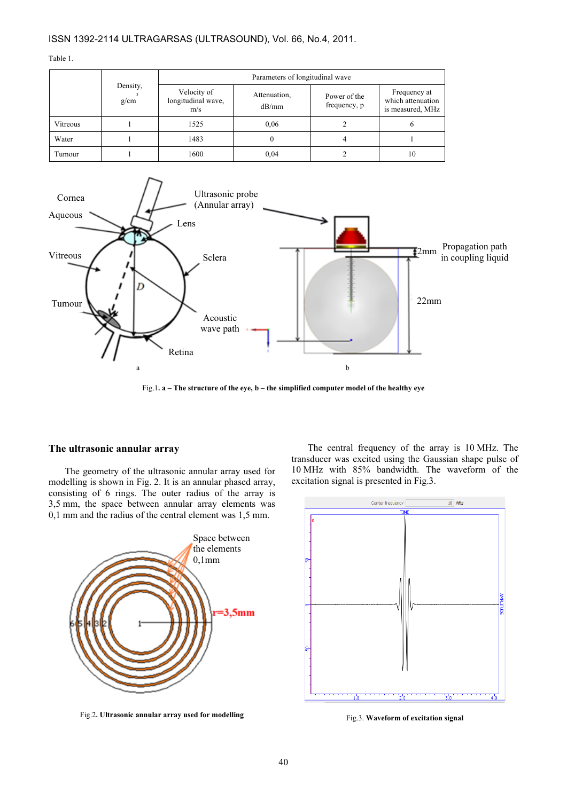## ISSN 1392-2114 ULTRAGARSAS (ULTRASOUND), Vol. 66, No.4, 2011.

Table 1.

|          | Density,<br>g/cm | Parameters of longitudinal wave          |                       |                              |                                                       |
|----------|------------------|------------------------------------------|-----------------------|------------------------------|-------------------------------------------------------|
|          |                  | Velocity of<br>longitudinal wave,<br>m/s | Attenuation,<br>dB/mm | Power of the<br>frequency, p | Frequency at<br>which attenuation<br>is measured, MHz |
| Vitreous |                  | 1525                                     | 0.06                  |                              |                                                       |
| Water    |                  | 1483                                     | O                     |                              |                                                       |
| Tumour   |                  | 1600                                     | 0,04                  |                              | 10                                                    |



Fig.1. a – The structure of the eye, b – the simplified computer model of the healthy eye

## The ultrasonic annular array

The geometry of the ultrasonic annular array used for modelling is shown in Fig. 2. It is an annular phased array, consisting of 6 rings. The outer radius of the array is 3,5 mm, the space between annular array elements was 0,1 mm and the radius of the central element was 1,5 mm.



Fig.2. Ultrasonic annular array used for modelling

The central frequency of the array is 10 MHz. The transducer was excited using the Gaussian shape pulse of 10 MHz with 85% bandwidth. The waveform of the excitation signal is presented in Fig.3.



Fig.3. Waveform of excitation signal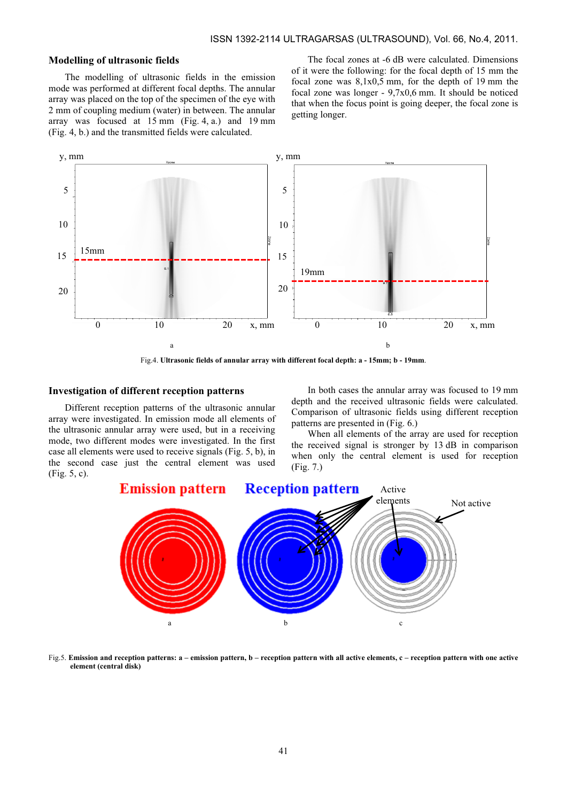## Modelling of ultrasonic fields

The modelling of ultrasonic fields in the emission mode was performed at different focal depths. The annular array was placed on the top of the specimen of the eye with 2 mm of coupling medium (water) in between. The annular array was focused at 15 mm (Fig. 4, a.) and 19 mm (Fig. 4, b.) and the transmitted fields were calculated.

The focal zones at -6 dB were calculated. Dimensions of it were the following: for the focal depth of 15 mm the focal zone was  $8,1x0,5$  mm, for the depth of 19 mm the focal zone was longer - 9,7x0,6 mm. It should be noticed that when the focus point is going deeper, the focal zone is getting longer.



Fig.4. Ultrasonic fields of annular array with different focal depth: a - 15mm; b - 19mm.

## Investigation of different reception patterns

Different reception patterns of the ultrasonic annular array were investigated. In emission mode all elements of the ultrasonic annular array were used, but in a receiving mode, two different modes were investigated. In the first case all elements were used to receive signals (Fig. 5, b), in the second case just the central element was used (Fig. 5, c).

In both cases the annular array was focused to 19 mm depth and the received ultrasonic fields were calculated. Comparison of ultrasonic fields using different reception patterns are presented in (Fig. 6.)

When all elements of the array are used for reception the received signal is stronger by 13 dB in comparison when only the central element is used for reception (Fig. 7.)



Fig.5. Emission and reception patterns: a – emission pattern, b – reception pattern with all active elements, c – reception pattern with one active element (central disk)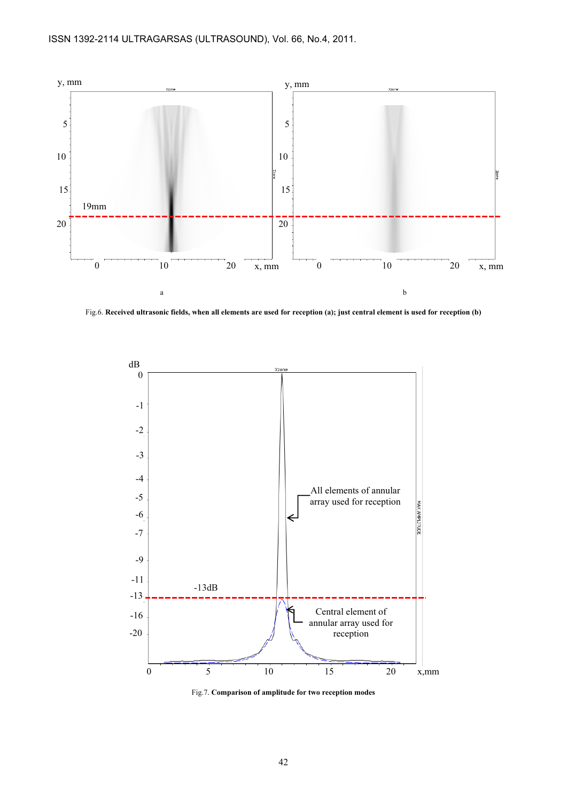

Fig.6. Received ultrasonic fields, when all elements are used for reception (a); just central element is used for reception (b)



Fig.7. Comparison of amplitude for two reception modes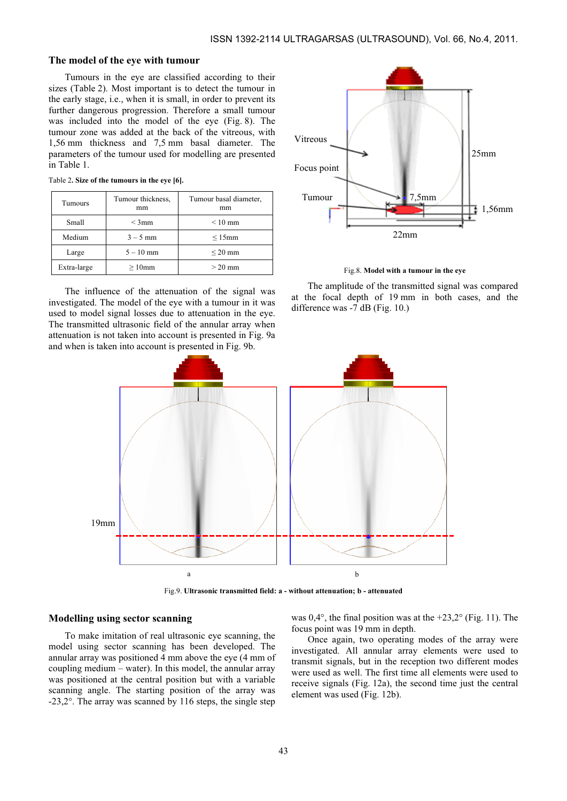## The model of the eye with tumour

Tumours in the eye are classified according to their sizes (Table 2). Most important is to detect the tumour in the early stage, i.e., when it is small, in order to prevent its further dangerous progression. Therefore a small tumour was included into the model of the eye (Fig. 8). The tumour zone was added at the back of the vitreous, with 1,56 mm thickness and 7,5 mm basal diameter. The parameters of the tumour used for modelling are presented in Table 1.

| <b>Tumours</b>   | Tumour thickness,<br>mm | Tumour basal diameter,<br>mm |  |
|------------------|-------------------------|------------------------------|--|
| Small<br>$<$ 3mm |                         | $\leq 10$ mm                 |  |
| Medium           | $3 - 5$ mm              | $\leq 15$ mm                 |  |
| Large            | $5 - 10$ mm             | $\leq$ 20 mm                 |  |
| Extra-large      | $>10$ mm                | $> 20$ mm                    |  |

Table 2. Size of the tumours in the eye [6].

The influence of the attenuation of the signal was investigated. The model of the eye with a tumour in it was used to model signal losses due to attenuation in the eye. The transmitted ultrasonic field of the annular array when attenuation is not taken into account is presented in Fig. 9a and when is taken into account is presented in Fig. 9b.



Fig.8. Model with a tumour in the eye

The amplitude of the transmitted signal was compared at the focal depth of 19 mm in both cases, and the difference was -7 dB (Fig. 10.)



Fig.9. Ultrasonic transmitted field: a - without attenuation; b - attenuated

#### Modelling using sector scanning

To make imitation of real ultrasonic eye scanning, the model using sector scanning has been developed. The annular array was positioned 4 mm above the eye (4 mm of coupling medium – water). In this model, the annular array was positioned at the central position but with a variable scanning angle. The starting position of the array was -23,2°. The array was scanned by 116 steps, the single step

was  $0,4^{\circ}$ , the final position was at the +23,2 $^{\circ}$  (Fig. 11). The focus point was 19 mm in depth.

Once again, two operating modes of the array were investigated. All annular array elements were used to transmit signals, but in the reception two different modes were used as well. The first time all elements were used to receive signals (Fig. 12a), the second time just the central element was used (Fig. 12b).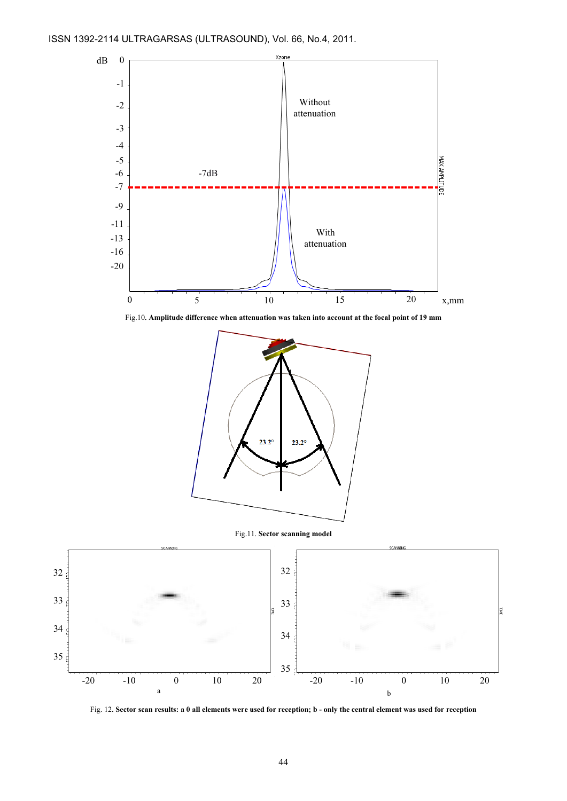

Fig.10. Amplitude difference when attenuation was taken into account at the focal point of 19 mm



Fig.11. Sector scanning model



Fig. 12. Sector scan results: a 0 all elements were used for reception; b - only the central element was used for reception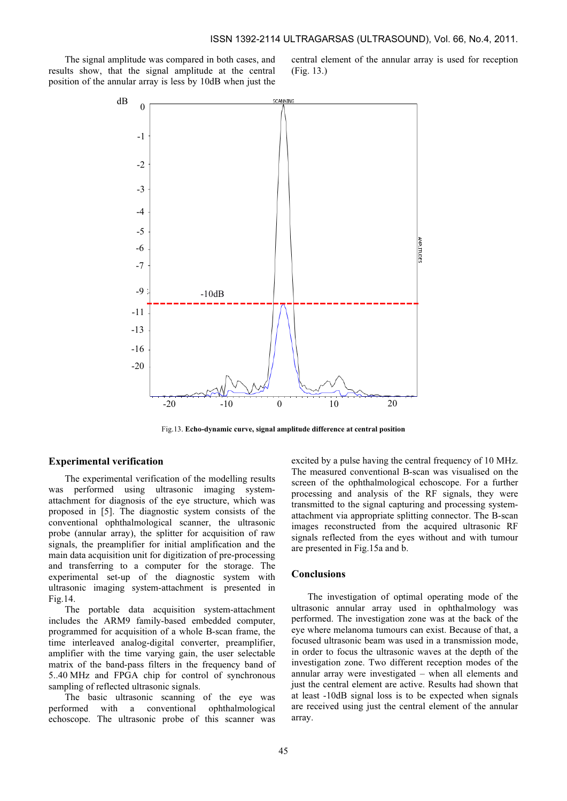The signal amplitude was compared in both cases, and results show, that the signal amplitude at the central position of the annular array is less by 10dB when just the central element of the annular array is used for reception (Fig. 13.)



Fig.13. Echo-dynamic curve, signal amplitude difference at central position

#### Experimental verification

The experimental verification of the modelling results was performed using ultrasonic imaging systemattachment for diagnosis of the eye structure, which was proposed in [5]. The diagnostic system consists of the conventional ophthalmological scanner, the ultrasonic probe (annular array), the splitter for acquisition of raw signals, the preamplifier for initial amplification and the main data acquisition unit for digitization of pre-processing and transferring to a computer for the storage. The experimental set-up of the diagnostic system with ultrasonic imaging system-attachment is presented in Fig.14.

The portable data acquisition system-attachment includes the ARM9 family-based embedded computer, programmed for acquisition of a whole B-scan frame, the time interleaved analog-digital converter, preamplifier, amplifier with the time varying gain, the user selectable matrix of the band-pass filters in the frequency band of 5..40 MHz and FPGA chip for control of synchronous sampling of reflected ultrasonic signals.

The basic ultrasonic scanning of the eye was performed with a conventional ophthalmological echoscope. The ultrasonic probe of this scanner was excited by a pulse having the central frequency of 10 MHz. The measured conventional B-scan was visualised on the screen of the ophthalmological echoscope. For a further processing and analysis of the RF signals, they were transmitted to the signal capturing and processing systemattachment via appropriate splitting connector. The B-scan images reconstructed from the acquired ultrasonic RF signals reflected from the eyes without and with tumour are presented in Fig.15a and b.

## Conclusions

The investigation of optimal operating mode of the ultrasonic annular array used in ophthalmology was performed. The investigation zone was at the back of the eye where melanoma tumours can exist. Because of that, a focused ultrasonic beam was used in a transmission mode, in order to focus the ultrasonic waves at the depth of the investigation zone. Two different reception modes of the annular array were investigated – when all elements and just the central element are active. Results had shown that at least -10dB signal loss is to be expected when signals are received using just the central element of the annular array.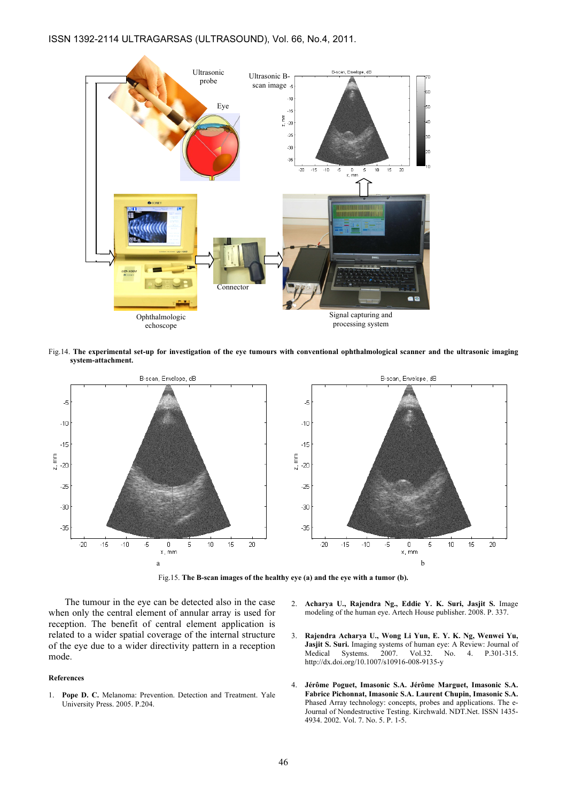## ISSN 1392-2114 ULTRAGARSAS (ULTRASOUND), Vol. 66, No.4, 2011.



Fig.14. The experimental set-up for investigation of the eye tumours with conventional ophthalmological scanner and the ultrasonic imaging system-attachment.



Fig.15. The B-scan images of the healthy eye (a) and the eye with a tumor (b).

The tumour in the eye can be detected also in the case when only the central element of annular array is used for reception. The benefit of central element application is related to a wider spatial coverage of the internal structure of the eye due to a wider directivity pattern in a reception mode.

#### References

- 1. Pope D. C. Melanoma: Prevention. Detection and Treatment. Yale University Press. 2005. P.204.
- 2. Acharya U., Rajendra Ng., Eddie Y. K. Suri, Jasjit S. Image modeling of the human eye. Artech House publisher. 2008. P. 337.
- 3. Rajendra Acharya U., Wong Li Yun, E. Y. K. Ng, Wenwei Yu, Jasjit S. Suri. Imaging systems of human eye: A Review: Journal of Medical Systems. 2007. Vol.32. No. 4. P.301-315. http://dx.doi.org/10.1007/s10916-008-9135-y
- 4. Jérôme Poguet, Imasonic S.A. Jérôme Marguet, Imasonic S.A. Fabrice Pichonnat, Imasonic S.A. Laurent Chupin, Imasonic S.A. Phased Array technology: concepts, probes and applications. The e-Journal of Nondestructive Testing. Kirchwald. NDT.Net. ISSN 1435- 4934. 2002. Vol. 7. No. 5. P. 1-5.